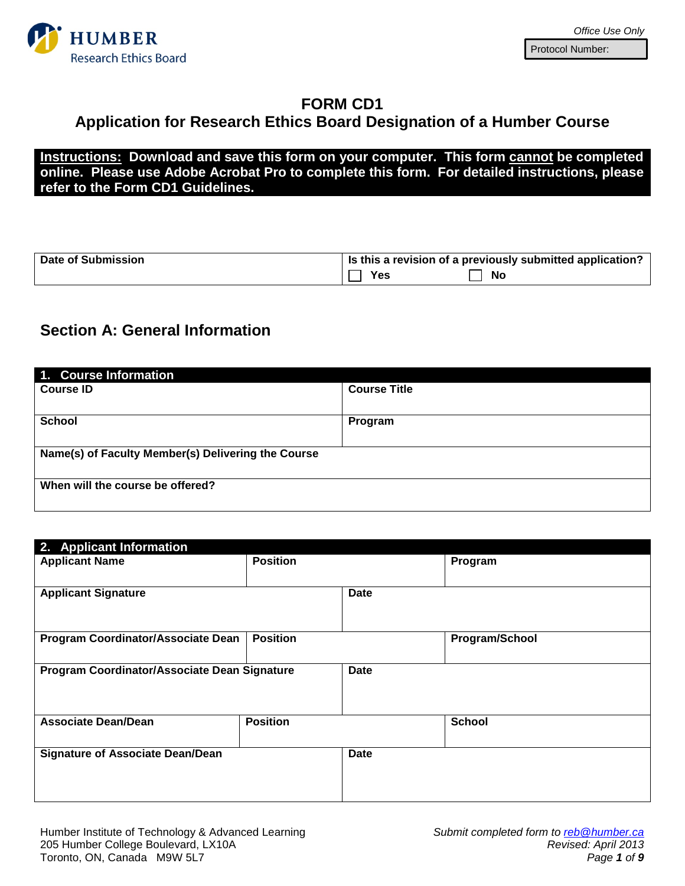

### **FORM CD1**

# **Application for Research Ethics Board Designation of a Humber Course**

**Instructions: Download and save this form on your computer. This form cannot be completed online. Please use Adobe Acrobat Pro to complete this form. For detailed instructions, please refer to the Form CD1 Guidelines.**

| <b>Date of Submission</b> | $\parallel$ is this a revision of a previously submitted application? |
|---------------------------|-----------------------------------------------------------------------|
|                           | Yes<br>No                                                             |

### **Section A: General Information**

| 1. Course Information                              |                     |
|----------------------------------------------------|---------------------|
| <b>Course ID</b>                                   | <b>Course Title</b> |
|                                                    |                     |
| <b>School</b>                                      | Program             |
|                                                    |                     |
| Name(s) of Faculty Member(s) Delivering the Course |                     |
|                                                    |                     |
| When will the course be offered?                   |                     |
|                                                    |                     |

| 2. Applicant Information                     |                 |             |                |
|----------------------------------------------|-----------------|-------------|----------------|
| <b>Applicant Name</b>                        | <b>Position</b> |             | Program        |
| <b>Applicant Signature</b>                   |                 | <b>Date</b> |                |
| <b>Program Coordinator/Associate Dean</b>    | <b>Position</b> |             | Program/School |
| Program Coordinator/Associate Dean Signature |                 | <b>Date</b> |                |
| <b>Associate Dean/Dean</b>                   | <b>Position</b> |             | <b>School</b>  |
| <b>Signature of Associate Dean/Dean</b>      |                 | <b>Date</b> |                |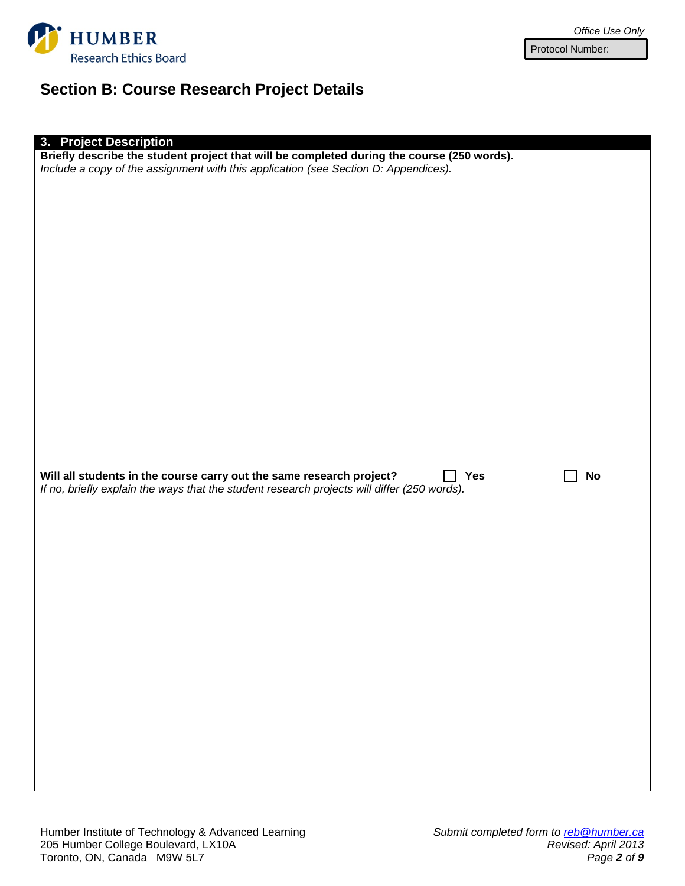

# **Section B: Course Research Project Details**

| 3. Project Description<br>Briefly describe the student project that will be completed during the course (250 words).                                                |    |
|---------------------------------------------------------------------------------------------------------------------------------------------------------------------|----|
| Include a copy of the assignment with this application (see Section D: Appendices).                                                                                 |    |
|                                                                                                                                                                     |    |
|                                                                                                                                                                     |    |
|                                                                                                                                                                     |    |
|                                                                                                                                                                     |    |
|                                                                                                                                                                     |    |
|                                                                                                                                                                     |    |
|                                                                                                                                                                     |    |
|                                                                                                                                                                     |    |
|                                                                                                                                                                     |    |
|                                                                                                                                                                     |    |
|                                                                                                                                                                     |    |
|                                                                                                                                                                     |    |
|                                                                                                                                                                     |    |
|                                                                                                                                                                     |    |
|                                                                                                                                                                     |    |
|                                                                                                                                                                     |    |
|                                                                                                                                                                     |    |
|                                                                                                                                                                     |    |
|                                                                                                                                                                     |    |
|                                                                                                                                                                     |    |
| $\overline{Yes}$                                                                                                                                                    | No |
| Will all students in the course carry out the same research project?<br>If no, briefly explain the ways that the student research projects will differ (250 words). |    |
|                                                                                                                                                                     |    |
|                                                                                                                                                                     |    |
|                                                                                                                                                                     |    |
|                                                                                                                                                                     |    |
|                                                                                                                                                                     |    |
|                                                                                                                                                                     |    |
|                                                                                                                                                                     |    |
|                                                                                                                                                                     |    |
|                                                                                                                                                                     |    |
|                                                                                                                                                                     |    |
|                                                                                                                                                                     |    |
|                                                                                                                                                                     |    |
|                                                                                                                                                                     |    |
|                                                                                                                                                                     |    |
|                                                                                                                                                                     |    |
|                                                                                                                                                                     |    |
|                                                                                                                                                                     |    |
|                                                                                                                                                                     |    |
|                                                                                                                                                                     |    |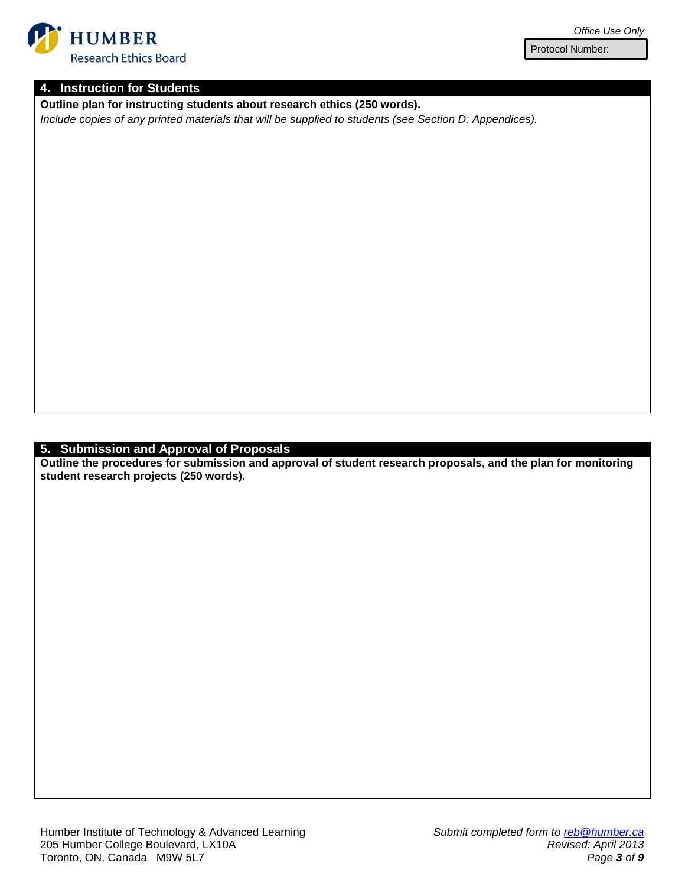

#### **4. Instruction for Students**

**Outline plan for instructing students about research ethics (250 words).**

*Include copies of any printed materials that will be supplied to students (see Section D: Appendices).*

#### **5. Submission and Approval of Proposals**

**Outline the procedures for submission and approval of student research proposals, and the plan for monitoring student research projects (250 words).**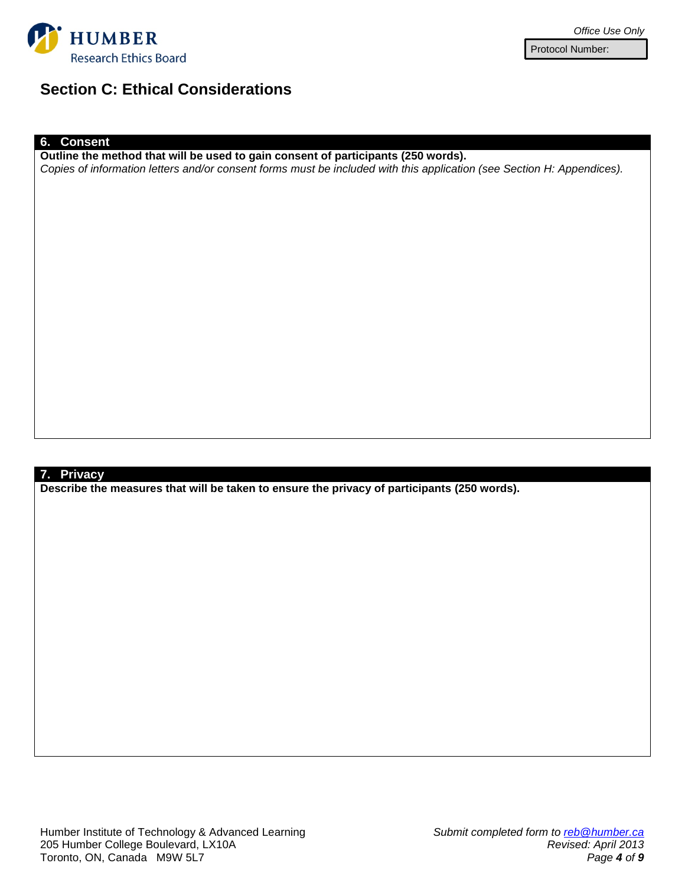

## **Section C: Ethical Considerations**

#### **6. Consent**

**Outline the method that will be used to gain consent of participants (250 words).** *Copies of information letters and/or consent forms must be included with this application (see Section H: Appendices).*

#### **7. Privacy**

**Describe the measures that will be taken to ensure the privacy of participants (250 words).**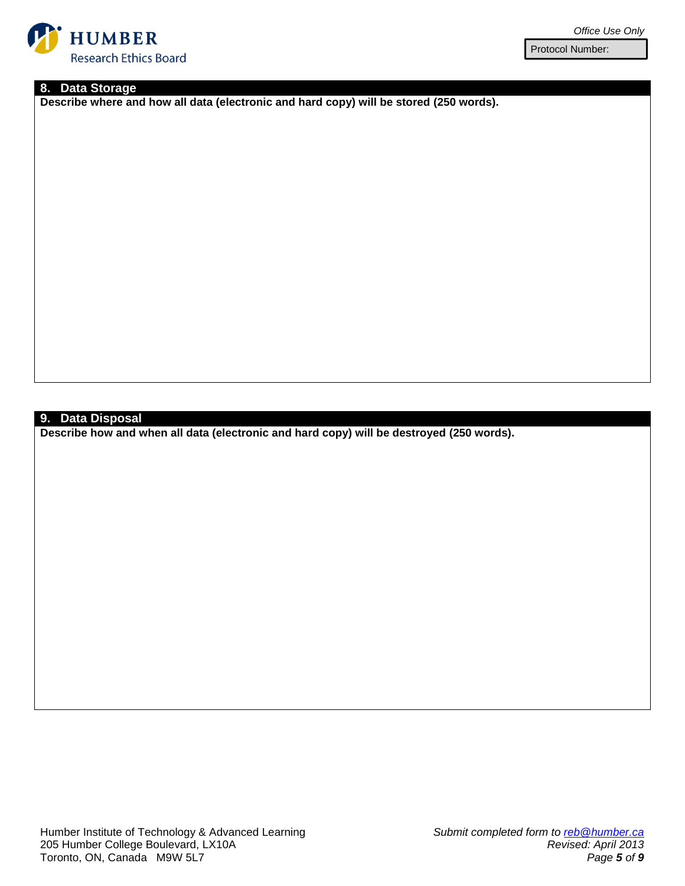

#### **8. Data Storage**

**Describe where and how all data (electronic and hard copy) will be stored (250 words).**

### **9. Data Disposal**

**Describe how and when all data (electronic and hard copy) will be destroyed (250 words).**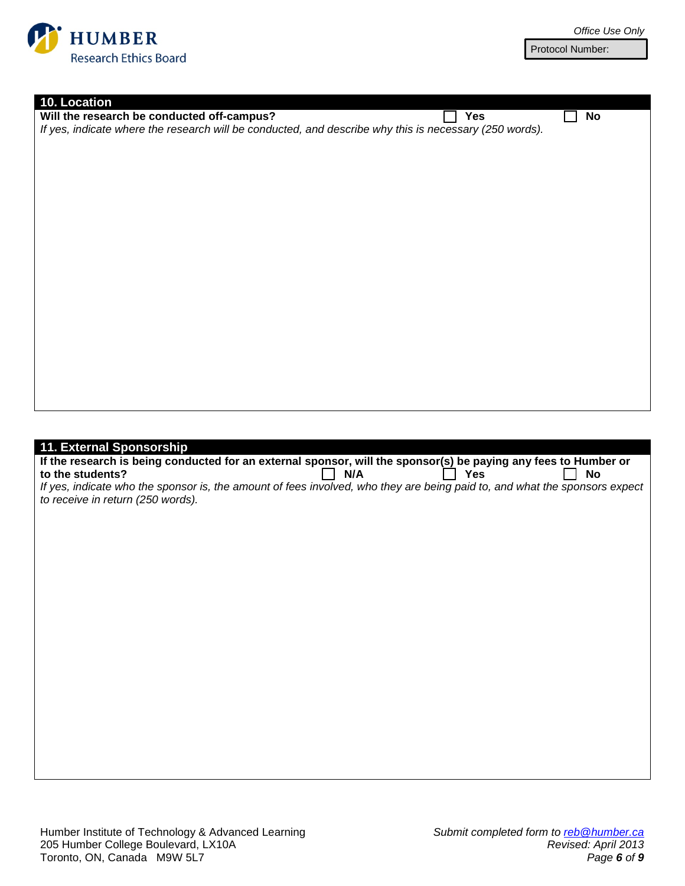

| 10. Location<br>Will the research be conducted off-campus?<br>Yes<br><b>No</b><br>If yes, indicate where the research will be conducted, and describe why this is necessary (250 words). |
|------------------------------------------------------------------------------------------------------------------------------------------------------------------------------------------|
|                                                                                                                                                                                          |
|                                                                                                                                                                                          |
|                                                                                                                                                                                          |
|                                                                                                                                                                                          |
|                                                                                                                                                                                          |
|                                                                                                                                                                                          |
|                                                                                                                                                                                          |
|                                                                                                                                                                                          |
|                                                                                                                                                                                          |
|                                                                                                                                                                                          |
|                                                                                                                                                                                          |
|                                                                                                                                                                                          |
|                                                                                                                                                                                          |
|                                                                                                                                                                                          |
|                                                                                                                                                                                          |
|                                                                                                                                                                                          |
|                                                                                                                                                                                          |
|                                                                                                                                                                                          |
|                                                                                                                                                                                          |
|                                                                                                                                                                                          |
|                                                                                                                                                                                          |
|                                                                                                                                                                                          |
|                                                                                                                                                                                          |
|                                                                                                                                                                                          |
|                                                                                                                                                                                          |
|                                                                                                                                                                                          |
|                                                                                                                                                                                          |
|                                                                                                                                                                                          |
|                                                                                                                                                                                          |
|                                                                                                                                                                                          |
| 11. External Sponsorship<br>If the research is being conducted for an external sponsor, will the sponsor(s) be paying any fees to Humber or                                              |
|                                                                                                                                                                                          |
|                                                                                                                                                                                          |
| to the students?<br>N/A<br><b>Yes</b><br><b>No</b>                                                                                                                                       |
| If yes, indicate who the sponsor is, the amount of fees involved, who they are being paid to, and what the sponsors expect                                                               |
|                                                                                                                                                                                          |
| to receive in return (250 words).                                                                                                                                                        |
|                                                                                                                                                                                          |
|                                                                                                                                                                                          |
|                                                                                                                                                                                          |
|                                                                                                                                                                                          |
|                                                                                                                                                                                          |
|                                                                                                                                                                                          |
|                                                                                                                                                                                          |
|                                                                                                                                                                                          |
|                                                                                                                                                                                          |
|                                                                                                                                                                                          |
|                                                                                                                                                                                          |
|                                                                                                                                                                                          |
|                                                                                                                                                                                          |
|                                                                                                                                                                                          |
|                                                                                                                                                                                          |
|                                                                                                                                                                                          |
|                                                                                                                                                                                          |
|                                                                                                                                                                                          |
|                                                                                                                                                                                          |
|                                                                                                                                                                                          |
|                                                                                                                                                                                          |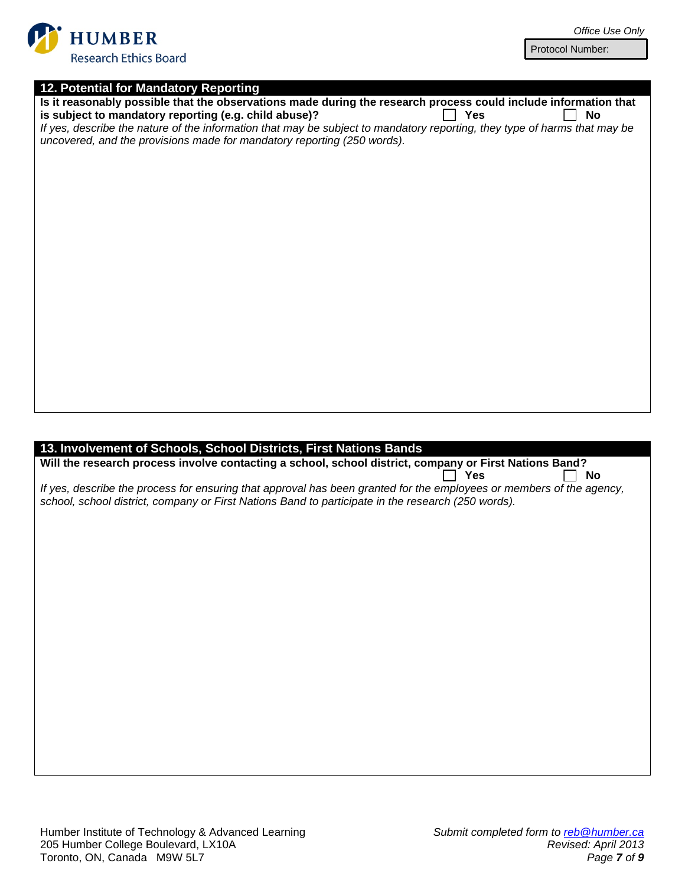

| Office Use Only |  |  |
|-----------------|--|--|
|-----------------|--|--|

| 12. Potential for Mandatory Reporting |  |  |
|---------------------------------------|--|--|
|---------------------------------------|--|--|

| Is it reasonably possible that the observations made during the research process could include information that                                                                                      |  |
|------------------------------------------------------------------------------------------------------------------------------------------------------------------------------------------------------|--|
| is subject to mandatory reporting (e.g. child abuse)?<br>Yes<br>No                                                                                                                                   |  |
| If yes, describe the nature of the information that may be subject to mandatory reporting, they type of harms that may be<br>uncovered, and the provisions made for mandatory reporting (250 words). |  |
|                                                                                                                                                                                                      |  |
|                                                                                                                                                                                                      |  |
|                                                                                                                                                                                                      |  |
|                                                                                                                                                                                                      |  |
|                                                                                                                                                                                                      |  |
|                                                                                                                                                                                                      |  |
|                                                                                                                                                                                                      |  |
|                                                                                                                                                                                                      |  |
|                                                                                                                                                                                                      |  |
|                                                                                                                                                                                                      |  |
|                                                                                                                                                                                                      |  |
|                                                                                                                                                                                                      |  |
|                                                                                                                                                                                                      |  |
|                                                                                                                                                                                                      |  |
|                                                                                                                                                                                                      |  |
|                                                                                                                                                                                                      |  |
|                                                                                                                                                                                                      |  |
|                                                                                                                                                                                                      |  |
|                                                                                                                                                                                                      |  |
|                                                                                                                                                                                                      |  |
| 13. Involvement of Schools, School Districts, First Nations Bands                                                                                                                                    |  |
| 10.11 the research presens involve contacting a school, school district, company or Firet Nationa Dond?                                                                                              |  |

**Will the research process involve contacting a school, school district, company or First Nations Band?**  $\Box$  Yes  $\Box$  No *If yes, describe the process for ensuring that approval has been granted for the employees or members of the agency,* 

*school, school district, company or First Nations Band to participate in the research (250 words).*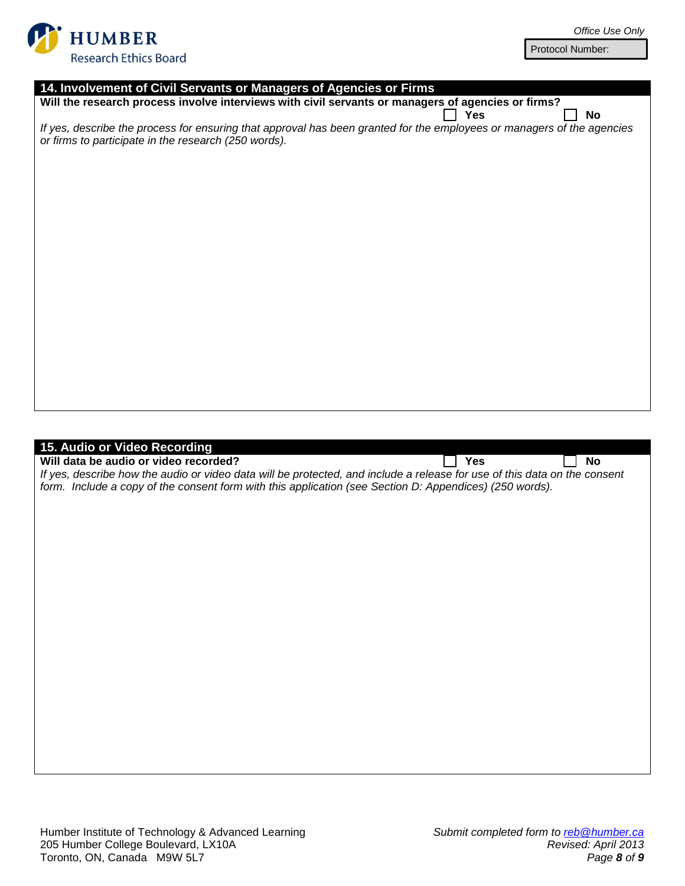

| 14. Involvement of Civil Servants or Managers of Agencies or Firms                                                        |
|---------------------------------------------------------------------------------------------------------------------------|
| Will the research process involve interviews with civil servants or managers of agencies or firms?                        |
| Yes<br>No                                                                                                                 |
| If yes, describe the process for ensuring that approval has been granted for the employees or managers of the agencies    |
| or firms to participate in the research (250 words).                                                                      |
|                                                                                                                           |
|                                                                                                                           |
|                                                                                                                           |
|                                                                                                                           |
|                                                                                                                           |
|                                                                                                                           |
|                                                                                                                           |
|                                                                                                                           |
|                                                                                                                           |
|                                                                                                                           |
|                                                                                                                           |
|                                                                                                                           |
|                                                                                                                           |
|                                                                                                                           |
|                                                                                                                           |
|                                                                                                                           |
|                                                                                                                           |
|                                                                                                                           |
|                                                                                                                           |
|                                                                                                                           |
|                                                                                                                           |
|                                                                                                                           |
| 15. Audio or Video Recording<br>Will data be audio or video recorded?<br>Yes<br>No                                        |
| If yes, describe how the audio or video data will be protected, and include a release for use of this data on the consent |
| form. Include a copy of the consent form with this application (see Section D: Appendices) (250 words).                   |
|                                                                                                                           |
|                                                                                                                           |
|                                                                                                                           |
|                                                                                                                           |
|                                                                                                                           |
|                                                                                                                           |
|                                                                                                                           |
|                                                                                                                           |
|                                                                                                                           |
|                                                                                                                           |
|                                                                                                                           |
|                                                                                                                           |
|                                                                                                                           |
|                                                                                                                           |
|                                                                                                                           |
|                                                                                                                           |
|                                                                                                                           |
|                                                                                                                           |
|                                                                                                                           |
|                                                                                                                           |